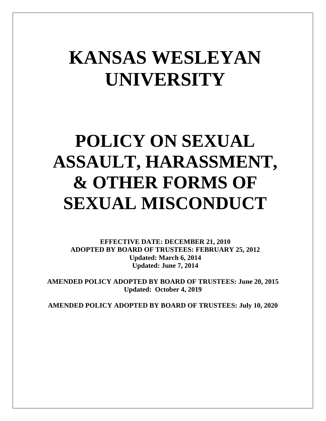# **KANSAS WESLEYAN UNIVERSITY**

# **POLICY ON SEXUAL ASSAULT, HARASSMENT, & OTHER FORMS OF SEXUAL MISCONDUCT**

**EFFECTIVE DATE: DECEMBER 21, 2010 ADOPTED BY BOARD OF TRUSTEES: FEBRUARY 25, 2012 Updated: March 6, 2014 Updated: June 7, 2014**

**AMENDED POLICY ADOPTED BY BOARD OF TRUSTEES: June 20, 2015 Updated: October 4, 2019**

**AMENDED POLICY ADOPTED BY BOARD OF TRUSTEES: July 10, 2020**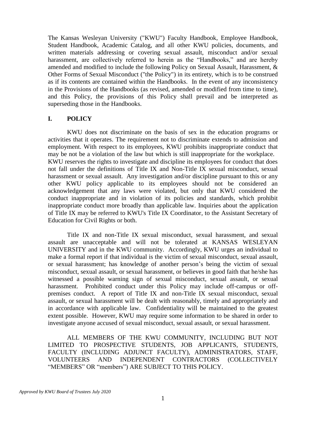The Kansas Wesleyan University ("KWU") Faculty Handbook, Employee Handbook, Student Handbook, Academic Catalog, and all other KWU policies, documents, and written materials addressing or covering sexual assault, misconduct and/or sexual harassment, are collectively referred to herein as the "Handbooks," and are hereby amended and modified to include the following Policy on Sexual Assault, Harassment, & Other Forms of Sexual Misconduct ("the Policy") in its entirety, which is to be construed as if its contents are contained within the Handbooks. In the event of any inconsistency in the Provisions of the Handbooks (as revised, amended or modified from time to time), and this Policy, the provisions of this Policy shall prevail and be interpreted as superseding those in the Handbooks.

#### **I. POLICY**

KWU does not discriminate on the basis of sex in the education programs or activities that it operates. The requirement not to discriminate extends to admission and employment. With respect to its employees, KWU prohibits inappropriate conduct that may be not be a violation of the law but which is still inappropriate for the workplace. KWU reserves the rights to investigate and discipline its employees for conduct that does not fall under the definitions of Title IX and Non-Title IX sexual misconduct, sexual harassment or sexual assault. Any investigation and/or discipline pursuant to this or any other KWU policy applicable to its employees should not be considered an acknowledgement that any laws were violated, but only that KWU considered the conduct inappropriate and in violation of its policies and standards, which prohibit inappropriate conduct more broadly than applicable law. Inquiries about the application of Title IX may be referred to KWU's Title IX Coordinator, to the Assistant Secretary of Education for Civil Rights or both.

Title IX and non-Title IX sexual misconduct, sexual harassment, and sexual assault are unacceptable and will not be tolerated at KANSAS WESLEYAN UNIVERSITY and in the KWU community. Accordingly, KWU urges an individual to make a formal report if that individual is the victim of sexual misconduct, sexual assault, or sexual harassment; has knowledge of another person's being the victim of sexual misconduct, sexual assault, or sexual harassment, or believes in good faith that he/she has witnessed a possible warning sign of sexual misconduct, sexual assault, or sexual harassment. Prohibited conduct under this Policy may include off-campus or offpremises conduct. A report of Title IX and non-Title IX sexual misconduct, sexual assault, or sexual harassment will be dealt with reasonably, timely and appropriately and in accordance with applicable law. Confidentiality will be maintained to the greatest extent possible. However, KWU may require some information to be shared in order to investigate anyone accused of sexual misconduct, sexual assault, or sexual harassment.

ALL MEMBERS OF THE KWU COMMUNITY, INCLUDING BUT NOT LIMITED TO PROSPECTIVE STUDENTS, JOB APPLICANTS, STUDENTS, FACULTY (INCLUDING ADJUNCT FACULTY), ADMINISTRATORS, STAFF, VOLUNTEERS AND INDEPENDENT CONTRACTORS (COLLECTIVELY "MEMBERS" OR "members") ARE SUBJECT TO THIS POLICY.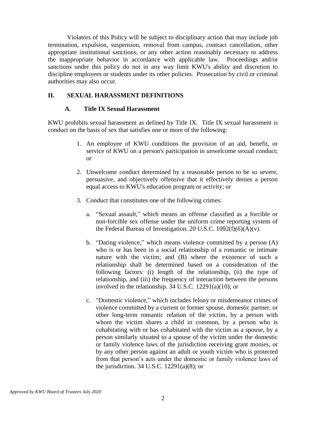Violators of this Policy will be subject to disciplinary action that may include job termination, expulsion, suspension, removal from campus, contract cancellation, other appropriate institutional sanctions, or any other action reasonably necessary to address the inappropriate behavior in accordance with applicable law. Proceedings and/or sanctions under this policy do not in any way limit KWU's ability and discretion to discipline employees or students under its other policies. Prosecution by civil or criminal authorities may also occur.

# **II. SEXUAL HARASSMENT DEFINITIONS**

#### **A. Title IX Sexual Harassment**

KWU prohibits sexual harassment as defined by Title IX. Title IX sexual harassment is conduct on the basis of sex that satisfies one or more of the following:

- 1. An employee of KWU conditions the provision of an aid, benefit, or service of KWU on a person's participation in unwelcome sexual conduct; or
- 2. Unwelcome conduct determined by a reasonable person to be so severe, persuasive, and objectively offensive that it effectively denies a person equal access to KWU's education program or activity; or
- 3. Conduct that constitutes one of the following crimes:
	- a. "Sexual assault," which means an offense classified as a forcible or non-forcible sex offense under the uniform crime reporting system of the Federal Bureau of Investigation. 20 U.S.C.  $1092(f)(6)(A)(v)$ .
	- b. "Dating violence," which means violence committed by a person (A) who is or has been in a social relationship of a romantic or intimate nature with the victim; and (B) where the existence of such a relationship shall be determined based on a consideration of the following factors: (i) length of the relationship, (ii) the type of relationship, and (iii) the frequency of interaction between the persons involved in the relationship. 34 U.S.C. 12291(a)(10); or
	- c. "Domestic violence," which includes felony or misdemeanor crimes of violence committed by a current or former spouse, domestic partner, or other long-term romantic relation of the victim, by a person with whom the victim shares a child in common, by a person who is cohabitating with or has cohabitated with the victim as a spouse, by a person similarly situated to a spouse of the victim under the domestic or family violence laws of the jurisdiction receiving grant monies, or by any other person against an adult or youth victim who is protected from that person's acts under the domestic or family violence laws of the jurisdiction. 34 U.S.C. 12291(a)(8); or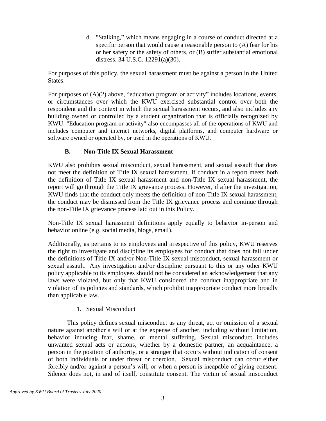d. "Stalking," which means engaging in a course of conduct directed at a specific person that would cause a reasonable person to (A) fear for his or her safety or the safety of others, or (B) suffer substantial emotional distress. 34 U.S.C. 12291(a)(30).

For purposes of this policy, the sexual harassment must be against a person in the United States.

For purposes of  $(A)(2)$  above, "education program or activity" includes locations, events, or circumstances over which the KWU exercised substantial control over both the respondent and the context in which the sexual harassment occurs, and also includes any building owned or controlled by a student organization that is officially recognized by KWU. "Education program or activity" also encompasses all of the operations of KWU and includes computer and internet networks, digital platforms, and computer hardware or software owned or operated by, or used in the operations of KWU.

# **B. Non-Title IX Sexual Harassment**

KWU also prohibits sexual misconduct, sexual harassment, and sexual assault that does not meet the definition of Title IX sexual harassment. If conduct in a report meets both the definition of Title IX sexual harassment and non-Title IX sexual harassment, the report will go through the Title IX grievance process. However, if after the investigation, KWU finds that the conduct only meets the definition of non-Title IX sexual harassment, the conduct may be dismissed from the Title IX grievance process and continue through the non-Title IX grievance process laid out in this Policy.

Non-Title IX sexual harassment definitions apply equally to behavior in-person and behavior online (e.g. social media, blogs, email).

Additionally, as pertains to its employees and irrespective of this policy, KWU reserves the right to investigate and discipline its employees for conduct that does not fall under the definitions of Title IX and/or Non-Title IX sexual misconduct, sexual harassment or sexual assault. Any investigation and/or discipline pursuant to this or any other KWU policy applicable to its employees should not be considered an acknowledgement that any laws were violated, but only that KWU considered the conduct inappropriate and in violation of its policies and standards, which prohibit inappropriate conduct more broadly than applicable law.

# 1. Sexual Misconduct

This policy defines sexual misconduct as any threat, act or omission of a sexual nature against another's will or at the expense of another, including without limitation, behavior inducing fear, shame, or mental suffering. Sexual misconduct includes unwanted sexual acts or actions, whether by a domestic partner, an acquaintance, a person in the position of authority, or a stranger that occurs without indication of consent of both individuals or under threat or coercion. Sexual misconduct can occur either forcibly and/or against a person's will, or when a person is incapable of giving consent. Silence does not, in and of itself, constitute consent. The victim of sexual misconduct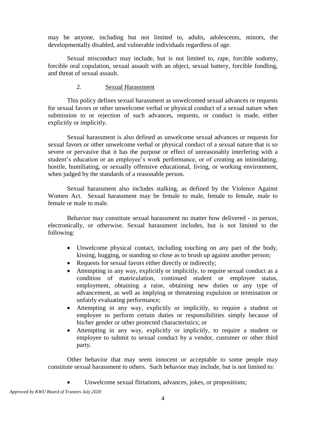may be anyone, including but not limited to, adults, adolescents, minors, the developmentally disabled, and vulnerable individuals regardless of age.

Sexual misconduct may include, but is not limited to, rape, forcible sodomy, forcible oral copulation, sexual assault with an object, sexual battery, forcible fondling, and threat of sexual assault.

#### 2. Sexual Harassment

This policy defines sexual harassment as unwelcomed sexual advances or requests for sexual favors or other unwelcome verbal or physical conduct of a sexual nature when submission to or rejection of such advances, requests, or conduct is made, either explicitly or implicitly.

Sexual harassment is also defined as unwelcome sexual advances or requests for sexual favors or other unwelcome verbal or physical conduct of a sexual nature that is so severe or pervasive that it has the purpose or effect of unreasonably interfering with a student's education or an employee's work performance, or of creating an intimidating, hostile, humiliating, or sexually offensive educational, living, or working environment, when judged by the standards of a reasonable person.

Sexual harassment also includes stalking, as defined by the Violence Against Women Act. Sexual harassment may be female to male, female to female, male to female or male to male.

Behavior may constitute sexual harassment no matter how delivered - in person, electronically, or otherwise. Sexual harassment includes, but is not limited to the following:

- Unwelcome physical contact, including touching on any part of the body, kissing, hugging, or standing so close as to brush up against another person;
- Requests for sexual favors either directly or indirectly;
- Attempting in any way, explicitly or implicitly, to require sexual conduct as a condition of matriculation, continued student or employee status, employment, obtaining a raise, obtaining new duties or any type of advancement, as well as implying or threatening expulsion or termination or unfairly evaluating performance;
- Attempting in any way, explicitly or implicitly, to require a student or employee to perform certain duties or responsibilities simply because of his/her gender or other protected characteristics; or
- Attempting in any way, explicitly or implicitly, to require a student or employee to submit to sexual conduct by a vendor, customer or other third party.

Other behavior that may seem innocent or acceptable to some people may constitute sexual harassment to others. Such behavior may include, but is not limited to:

Unwelcome sexual flirtations, advances, jokes, or propositions;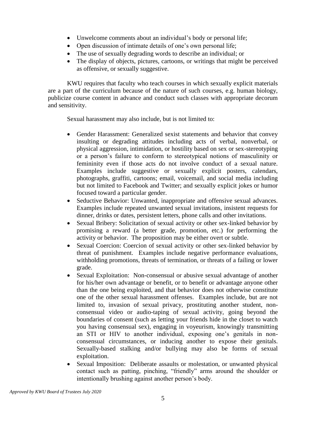- Unwelcome comments about an individual's body or personal life;
- Open discussion of intimate details of one's own personal life;
- The use of sexually degrading words to describe an individual; or
- The display of objects, pictures, cartoons, or writings that might be perceived as offensive, or sexually suggestive.

KWU requires that faculty who teach courses in which sexually explicit materials are a part of the curriculum because of the nature of such courses, e.g. human biology, publicize course content in advance and conduct such classes with appropriate decorum and sensitivity.

Sexual harassment may also include, but is not limited to:

- Gender Harassment: Generalized sexist statements and behavior that convey insulting or degrading attitudes including acts of verbal, nonverbal, or physical aggression, intimidation, or hostility based on sex or sex-stereotyping or a person's failure to conform to stereotypical notions of masculinity or femininity even if those acts do not involve conduct of a sexual nature. Examples include suggestive or sexually explicit posters, calendars, photographs, graffiti, cartoons; email, voicemail, and social media including but not limited to Facebook and Twitter; and sexually explicit jokes or humor focused toward a particular gender.
- Seductive Behavior: Unwanted, inappropriate and offensive sexual advances. Examples include repeated unwanted sexual invitations, insistent requests for dinner, drinks or dates, persistent letters, phone calls and other invitations.
- Sexual Bribery: Solicitation of sexual activity or other sex-linked behavior by promising a reward (a better grade, promotion, etc.) for performing the activity or behavior. The proposition may be either overt or subtle.
- Sexual Coercion: Coercion of sexual activity or other sex-linked behavior by threat of punishment. Examples include negative performance evaluations, withholding promotions, threats of termination, or threats of a failing or lower grade.
- Sexual Exploitation: Non-consensual or abusive sexual advantage of another for his/her own advantage or benefit, or to benefit or advantage anyone other than the one being exploited, and that behavior does not otherwise constitute one of the other sexual harassment offenses. Examples include, but are not limited to, invasion of sexual privacy, prostituting another student, nonconsensual video or audio-taping of sexual activity, going beyond the boundaries of consent (such as letting your friends hide in the closet to watch you having consensual sex), engaging in voyeurism, knowingly transmitting an STI or HIV to another individual, exposing one's genitals in nonconsensual circumstances, or inducing another to expose their genitals. Sexually-based stalking and/or bullying may also be forms of sexual exploitation.
- Sexual Imposition: Deliberate assaults or molestation, or unwanted physical contact such as patting, pinching, "friendly" arms around the shoulder or intentionally brushing against another person's body.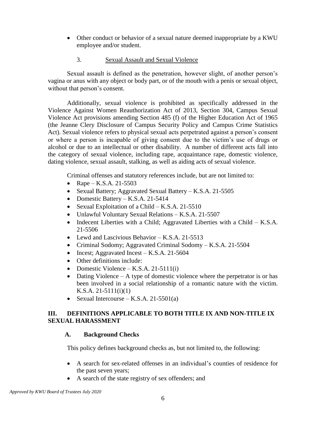- Other conduct or behavior of a sexual nature deemed inappropriate by a KWU employee and/or student.
	- 3. Sexual Assault and Sexual Violence

Sexual assault is defined as the penetration, however slight, of another person's vagina or anus with any object or body part, or of the mouth with a penis or sexual object, without that person's consent.

Additionally, sexual violence is prohibited as specifically addressed in the Violence Against Women Reauthorization Act of 2013, Section 304, Campus Sexual Violence Act provisions amending Section 485 (f) of the Higher Education Act of 1965 (the Jeanne Clery Disclosure of Campus Security Policy and Campus Crime Statistics Act). Sexual violence refers to physical sexual acts perpetrated against a person's consent or where a person is incapable of giving consent due to the victim's use of drugs or alcohol or due to an intellectual or other disability. A number of different acts fall into the category of sexual violence, including rape, acquaintance rape, domestic violence, dating violence, sexual assault, stalking, as well as aiding acts of sexual violence.

Criminal offenses and statutory references include, but are not limited to:

- Rape [K.S.A. 21-5503](http://www.kslegislature.org/li_2012/b2011_12/statute/021_000_0000_chapter/021_055_0000_article/021_055_0003_section/021_055_0003_k/)
- Sexual Battery; Aggravated Sexual Battery [K.S.A. 21-5505](http://www.kslegislature.org/li_2012/b2011_12/statute/021_000_0000_chapter/021_055_0000_article/021_055_0005_section/021_055_0005_k/)
- Domestic Battery [K.S.A. 21-5414](http://www.kslegislature.org/li_2012/b2011_12/statute/021_000_0000_chapter/021_054_0000_article/021_054_0014_section/021_054_0014_k/)
- Sexual Exploitation of a Child [K.S.A. 21-5510](http://www.kslegislature.org/li_2012/b2011_12/statute/021_000_0000_chapter/021_055_0000_article/021_055_0010_section/021_055_0010_k/)
- Unlawful Voluntary Sexual Relations [K.S.A. 21-5507](http://www.kslegislature.org/li_2012/b2011_12/statute/021_000_0000_chapter/021_055_0000_article/021_055_0007_section/021_055_0007_k/)
- Indecent Liberties with a Child; Aggravated Liberties with a Child K.S.A. [21-5506](http://www.kslegislature.org/li_2012/b2011_12/statute/021_000_0000_chapter/021_055_0000_article/021_055_0006_section/021_055_0006_k/)
- Lewd and Lascivious Behavior [K.S.A. 21-5513](http://www.kslegislature.org/li_2012/b2011_12/statute/021_000_0000_chapter/021_055_0000_article/021_055_0013_section/021_055_0013_k/)
- Criminal Sodomy; Aggravated Criminal Sodomy [K.S.A. 21-5504](http://www.kslegislature.org/li_2012/b2011_12/statute/021_000_0000_chapter/021_055_0000_article/021_055_0004_section/021_055_0004_k/)
- Incest; Aggravated Incest [K.S.A. 21-5604](http://www.kslegislature.org/li_2012/b2011_12/statute/021_000_0000_chapter/021_056_0000_article/021_056_0004_section/021_056_0004_k/)
- Other definitions include:
- Domestic Violence [K.S.A. 21-5111\(i\)](http://www.kslegislature.org/li_2012/b2011_12/statute/021_000_0000_chapter/021_051_0000_article/021_051_0011_section/021_051_0011_k/)
- Dating Violence A type of domestic violence where the perpetrator is or has been involved in a social relationship of a romantic nature with the victim. [K.S.A. 21-5111\(i\)\(1\)](http://www.kslegislature.org/li_2012/b2011_12/statute/021_000_0000_chapter/021_051_0000_article/021_051_0011_section/021_051_0011_k/)
- Sexual Intercourse [K.S.A. 21-5501\(](http://www.kslegislature.org/li_2012/b2011_12/statute/021_000_0000_chapter/021_055_0000_article/021_055_0001_section/021_055_0001_k/)a)

# **III. DEFINITIONS APPLICABLE TO BOTH TITLE IX AND NON-TITLE IX SEXUAL HARASSMENT**

# **A. Background Checks**

This policy defines background checks as, but not limited to, the following:

- A search for sex-related offenses in an individual's counties of residence for the past seven years;
- A search of the state registry of sex offenders; and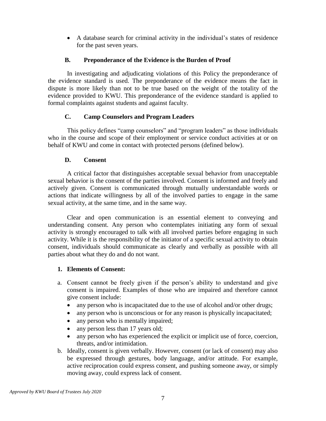A database search for criminal activity in the individual's states of residence for the past seven years.

### **B. Preponderance of the Evidence is the Burden of Proof**

In investigating and adjudicating violations of this Policy the preponderance of the evidence standard is used. The preponderance of the evidence means the fact in dispute is more likely than not to be true based on the weight of the totality of the evidence provided to KWU. This preponderance of the evidence standard is applied to formal complaints against students and against faculty.

# **C. Camp Counselors and Program Leaders**

This policy defines "camp counselors" and "program leaders" as those individuals who in the course and scope of their employment or service conduct activities at or on behalf of KWU and come in contact with protected persons (defined below).

#### **D. Consent**

A critical factor that distinguishes acceptable sexual behavior from unacceptable sexual behavior is the consent of the parties involved. Consent is informed and freely and actively given. Consent is communicated through mutually understandable words or actions that indicate willingness by all of the involved parties to engage in the same sexual activity, at the same time, and in the same way.

Clear and open communication is an essential element to conveying and understanding consent. Any person who contemplates initiating any form of sexual activity is strongly encouraged to talk with all involved parties before engaging in such activity. While it is the responsibility of the initiator of a specific sexual activity to obtain consent, individuals should communicate as clearly and verbally as possible with all parties about what they do and do not want.

#### **1. Elements of Consent:**

- a. Consent cannot be freely given if the person's ability to understand and give consent is impaired. Examples of those who are impaired and therefore cannot give consent include:
	- any person who is incapacitated due to the use of alcohol and/or other drugs;
	- any person who is unconscious or for any reason is physically incapacitated;
	- any person who is mentally impaired;
	- any person less than 17 years old;
	- any person who has experienced the explicit or implicit use of force, coercion, threats, and/or intimidation.
- b. Ideally, consent is given verbally. However, consent (or lack of consent) may also be expressed through gestures, body language, and/or attitude. For example, active reciprocation could express consent, and pushing someone away, or simply moving away, could express lack of consent.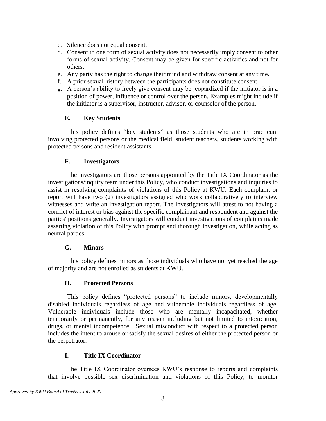- c. Silence does not equal consent.
- d. Consent to one form of sexual activity does not necessarily imply consent to other forms of sexual activity. Consent may be given for specific activities and not for others.
- e. Any party has the right to change their mind and withdraw consent at any time.
- f. A prior sexual history between the participants does not constitute consent.
- g. A person's ability to freely give consent may be jeopardized if the initiator is in a position of power, influence or control over the person. Examples might include if the initiator is a supervisor, instructor, advisor, or counselor of the person.

# **E. Key Students**

This policy defines "key students" as those students who are in practicum involving protected persons or the medical field, student teachers, students working with protected persons and resident assistants.

# **F. Investigators**

The investigators are those persons appointed by the Title IX Coordinator as the investigations/inquiry team under this Policy, who conduct investigations and inquiries to assist in resolving complaints of violations of this Policy at KWU. Each complaint or report will have two (2) investigators assigned who work collaboratively to interview witnesses and write an investigation report. The investigators will attest to not having a conflict of interest or bias against the specific complainant and respondent and against the parties' positions generally. Investigators will conduct investigations of complaints made asserting violation of this Policy with prompt and thorough investigation, while acting as neutral parties.

# **G. Minors**

This policy defines minors as those individuals who have not yet reached the age of majority and are not enrolled as students at KWU.

# **H. Protected Persons**

This policy defines "protected persons" to include minors, developmentally disabled individuals regardless of age and vulnerable individuals regardless of age. Vulnerable individuals include those who are mentally incapacitated, whether temporarily or permanently, for any reason including but not limited to intoxication, drugs, or mental incompetence. Sexual misconduct with respect to a protected person includes the intent to arouse or satisfy the sexual desires of either the protected person or the perpetrator.

# **I. Title IX Coordinator**

The Title IX Coordinator oversees KWU's response to reports and complaints that involve possible sex discrimination and violations of this Policy, to monitor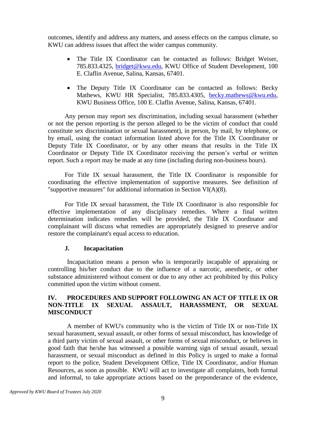outcomes, identify and address any matters, and assess effects on the campus climate, so KWU can address issues that affect the wider campus community.

- The Title IX Coordinator can be contacted as follows: Bridget Weiser, 785.833.4325, [bridget@kwu.edu,](mailto:bridget@kwu.edu) KWU Office of Student Development, 100 E. Claflin Avenue, Salina, Kansas, 67401.
- The Deputy Title IX Coordinator can be contacted as follows: Becky Mathews, KWU HR Specialist, 785.833.4305, [becky.mathews@kwu.edu,](mailto:becky.mathews@kwu.edu) KWU Business Office, 100 E. Claflin Avenue, Salina, Kansas, 67401.

Any person may report sex discrimination, including sexual harassment (whether or not the person reporting is the person alleged to be the victim of conduct that could constitute sex discrimination or sexual harassment), in person, by mail, by telephone, or by email, using the contact information listed above for the Title IX Coordinator or Deputy Title IX Coordinator, or by any other means that results in the Title IX Coordinator or Deputy Title IX Coordinator receiving the person's verbal or written report. Such a report may be made at any time (including during non-business hours).

For Title IX sexual harassment, the Title IX Coordinator is responsible for coordinating the effective implementation of supportive measures. See definition of "supportive measures" for additional information in Section VI(A)(8).

For Title IX sexual harassment, the Title IX Coordinator is also responsible for effective implementation of any disciplinary remedies. Where a final written determination indicates remedies will be provided, the Title IX Coordinator and complainant will discuss what remedies are appropriately designed to preserve and/or restore the complainant's equal access to education.

#### **J. Incapacitation**

Incapacitation means a person who is temporarily incapable of appraising or controlling his/her conduct due to the influence of a narcotic, anesthetic, or other substance administered without consent or due to any other act prohibited by this Policy committed upon the victim without consent.

# **IV. PROCEDURES AND SUPPORT FOLLOWING AN ACT OF TITLE IX OR NON-TITLE IX SEXUAL ASSAULT, HARASSMENT, OR SEXUAL MISCONDUCT**

A member of KWU's community who is the victim of Title IX or non-Title IX sexual harassment, sexual assault, or other forms of sexual misconduct, has knowledge of a third party victim of sexual assault, or other forms of sexual misconduct, or believes in good faith that he/she has witnessed a possible warning sign of sexual assault, sexual harassment, or sexual misconduct as defined in this Policy is urged to make a formal report to the police, Student Development Office, Title IX Coordinator, and/or Human Resources, as soon as possible. KWU will act to investigate all complaints, both formal and informal, to take appropriate actions based on the preponderance of the evidence,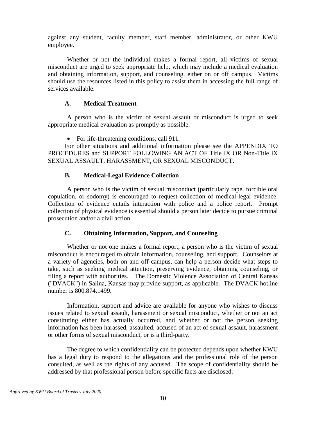against any student, faculty member, staff member, administrator, or other KWU employee.

Whether or not the individual makes a formal report, all victims of sexual misconduct are urged to seek appropriate help, which may include a medical evaluation and obtaining information, support, and counseling, either on or off campus. Victims should use the resources listed in this policy to assist them in accessing the full range of services available.

#### **A. Medical Treatment**

A person who is the victim of sexual assault or misconduct is urged to seek appropriate medical evaluation as promptly as possible.

• For life-threatening conditions, call 911.

For other situations and additional information please see the APPENDIX TO PROCEDURES and SUPPORT FOLLOWING AN ACT OF Title IX OR Non-Title IX SEXUAL ASSAULT, HARASSMENT, OR SEXUAL MISCONDUCT.

#### **B. Medical-Legal Evidence Collection**

A person who is the victim of sexual misconduct (particularly rape, forcible oral copulation, or sodomy) is encouraged to request collection of medical-legal evidence. Collection of evidence entails interaction with police and a police report. Prompt collection of physical evidence is essential should a person later decide to pursue criminal prosecution and/or a civil action.

#### **C. Obtaining Information, Support, and Counseling**

Whether or not one makes a formal report, a person who is the victim of sexual misconduct is encouraged to obtain information, counseling, and support. Counselors at a variety of agencies, both on and off campus, can help a person decide what steps to take, such as seeking medical attention, preserving evidence, obtaining counseling, or filing a report with authorities. The Domestic Violence Association of Central Kansas ("DVACK") in Salina, Kansas may provide support, as applicable. The DVACK hotline number is 800.874.1499.

Information, support and advice are available for anyone who wishes to discuss issues related to sexual assault, harassment or sexual misconduct, whether or not an act constituting either has actually occurred, and whether or not the person seeking information has been harassed, assaulted, accused of an act of sexual assault, harassment or other forms of sexual misconduct, or is a third-party.

The degree to which confidentiality can be protected depends upon whether KWU has a legal duty to respond to the allegations and the professional role of the person consulted, as well as the rights of any accused. The scope of confidentiality should be addressed by that professional person before specific facts are disclosed.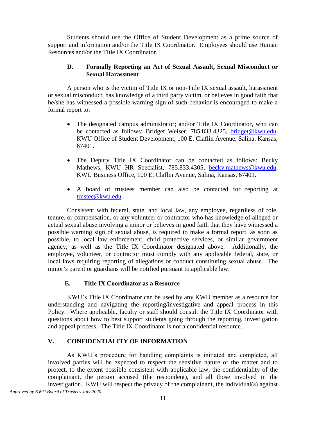Students should use the Office of Student Development as a prime source of support and information and/or the Title IX Coordinator. Employees should use Human Resources and/or the Title IX Coordinator.

### **D. Formally Reporting an Act of Sexual Assault, Sexual Misconduct or Sexual Harassment**

A person who is the victim of Title IX or non-Title IX sexual assault, harassment or sexual misconduct, has knowledge of a third party victim, or believes in good faith that he/she has witnessed a possible warning sign of such behavior is encouraged to make a formal report to:

- The designated campus administrator; and/or Title IX Coordinator, who can be contacted as follows: Bridget Weiser, 785.833.4325, [bridget@kwu.edu,](mailto:bridget@kwu.edu) KWU Office of Student Development, 100 E. Claflin Avenue, Salina, Kansas, 67401.
- The Deputy Title IX Coordinator can be contacted as follows: Becky Mathews, KWU HR Specialist, 785.833.4305, [becky.mathews@kwu.edu,](mailto:becky.mathews@kwu.edu) KWU Business Office, 100 E. Claflin Avenue, Salina, Kansas, 67401.
- A board of trustees member can also be contacted for reporting at [trustee@kwu.edu.](mailto:trustee@kwu.edu)

Consistent with federal, state, and local law, any employee, regardless of role, tenure, or compensation, or any volunteer or contractor who has knowledge of alleged or actual sexual abuse involving a minor or believes in good faith that they have witnessed a possible warning sign of sexual abuse, is required to make a formal report, as soon as possible, to local law enforcement, child protective services, or similar government agency, as well as the Title IX Coordinator designated above. Additionally, the employee, volunteer, or contractor must comply with any applicable federal, state, or local laws requiring reporting of allegations or conduct constituting sexual abuse. The minor's parent or guardians will be notified pursuant to applicable law.

# **E. Title IX Coordinator as a Resource**

KWU's Title IX Coordinator can be used by any KWU member as a resource for understanding and navigating the reporting/investigative and appeal process in this Policy. Where applicable, faculty or staff should consult the Title IX Coordinator with questions about how to best support students going through the reporting, investigation and appeal process. The Title IX Coordinator is not a confidential resource.

# **V. CONFIDENTIALITY OF INFORMATION**

As KWU's procedure for handling complaints is initiated and completed, all involved parties will be expected to respect the sensitive nature of the matter and to protect, to the extent possible consistent with applicable law, the confidentiality of the complainant, the person accused (the respondent), and all those involved in the investigation. KWU will respect the privacy of the complainant, the individual(s) against

*Approved by KWU Board of Trustees July 2020*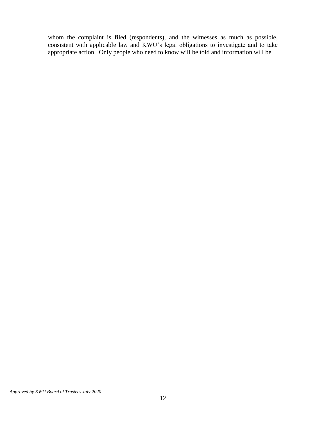whom the complaint is filed (respondents), and the witnesses as much as possible, consistent with applicable law and KWU's legal obligations to investigate and to take appropriate action. Only people who need to know will be told and information will be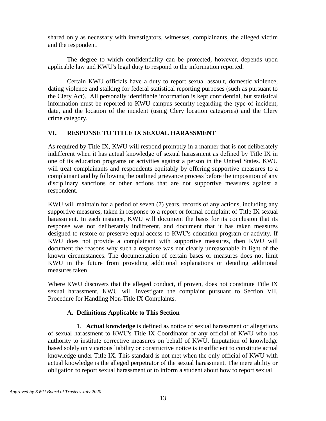shared only as necessary with investigators, witnesses, complainants, the alleged victim and the respondent.

The degree to which confidentiality can be protected, however, depends upon applicable law and KWU's legal duty to respond to the information reported.

Certain KWU officials have a duty to report sexual assault, domestic violence, dating violence and stalking for federal statistical reporting purposes (such as pursuant to the Clery Act). All personally identifiable information is kept confidential, but statistical information must be reported to KWU campus security regarding the type of incident, date, and the location of the incident (using Clery location categories) and the Clery crime category.

# **VI. RESPONSE TO TITLE IX SEXUAL HARASSMENT**

As required by Title IX, KWU will respond promptly in a manner that is not deliberately indifferent when it has actual knowledge of sexual harassment as defined by Title IX in one of its education programs or activities against a person in the United States. KWU will treat complainants and respondents equitably by offering supportive measures to a complainant and by following the outlined grievance process before the imposition of any disciplinary sanctions or other actions that are not supportive measures against a respondent.

KWU will maintain for a period of seven (7) years, records of any actions, including any supportive measures, taken in response to a report or formal complaint of Title IX sexual harassment. In each instance, KWU will document the basis for its conclusion that its response was not deliberately indifferent, and document that it has taken measures designed to restore or preserve equal access to KWU's education program or activity. If KWU does not provide a complainant with supportive measures, then KWU will document the reasons why such a response was not clearly unreasonable in light of the known circumstances. The documentation of certain bases or measures does not limit KWU in the future from providing additional explanations or detailing additional measures taken.

Where KWU discovers that the alleged conduct, if proven, does not constitute Title IX sexual harassment, KWU will investigate the complaint pursuant to Section VII, Procedure for Handling Non-Title IX Complaints.

# **A. Definitions Applicable to This Section**

1. **Actual knowledge** is defined as notice of sexual harassment or allegations of sexual harassment to KWU's Title IX Coordinator or any official of KWU who has authority to institute corrective measures on behalf of KWU. Imputation of knowledge based solely on vicarious liability or constructive notice is insufficient to constitute actual knowledge under Title IX. This standard is not met when the only official of KWU with actual knowledge is the alleged perpetrator of the sexual harassment. The mere ability or obligation to report sexual harassment or to inform a student about how to report sexual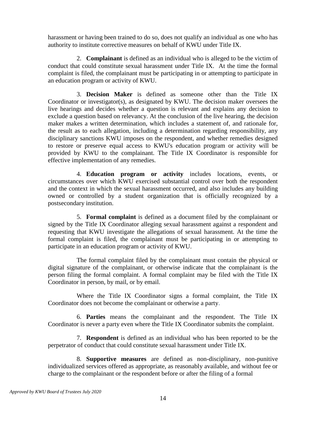harassment or having been trained to do so, does not qualify an individual as one who has authority to institute corrective measures on behalf of KWU under Title IX.

2. **Complainant** is defined as an individual who is alleged to be the victim of conduct that could constitute sexual harassment under Title IX. At the time the formal complaint is filed, the complainant must be participating in or attempting to participate in an education program or activity of KWU.

3. **Decision Maker** is defined as someone other than the Title IX Coordinator or investigator(s), as designated by KWU. The decision maker oversees the live hearings and decides whether a question is relevant and explains any decision to exclude a question based on relevancy. At the conclusion of the live hearing, the decision maker makes a written determination, which includes a statement of, and rationale for, the result as to each allegation, including a determination regarding responsibility, any disciplinary sanctions KWU imposes on the respondent, and whether remedies designed to restore or preserve equal access to KWU's education program or activity will be provided by KWU to the complainant. The Title IX Coordinator is responsible for effective implementation of any remedies.

4. **Education program or activity** includes locations, events, or circumstances over which KWU exercised substantial control over both the respondent and the context in which the sexual harassment occurred, and also includes any building owned or controlled by a student organization that is officially recognized by a postsecondary institution.

5. **Formal complaint** is defined as a document filed by the complainant or signed by the Title IX Coordinator alleging sexual harassment against a respondent and requesting that KWU investigate the allegations of sexual harassment. At the time the formal complaint is filed, the complainant must be participating in or attempting to participate in an education program or activity of KWU.

The formal complaint filed by the complainant must contain the physical or digital signature of the complainant, or otherwise indicate that the complainant is the person filing the formal complaint. A formal complaint may be filed with the Title IX Coordinator in person, by mail, or by email.

Where the Title IX Coordinator signs a formal complaint, the Title IX Coordinator does not become the complainant or otherwise a party.

6. **Parties** means the complainant and the respondent. The Title IX Coordinator is never a party even where the Title IX Coordinator submits the complaint.

7. **Respondent** is defined as an individual who has been reported to be the perpetrator of conduct that could constitute sexual harassment under Title IX.

8. **Supportive measures** are defined as non-disciplinary, non-punitive individualized services offered as appropriate, as reasonably available, and without fee or charge to the complainant or the respondent before or after the filing of a formal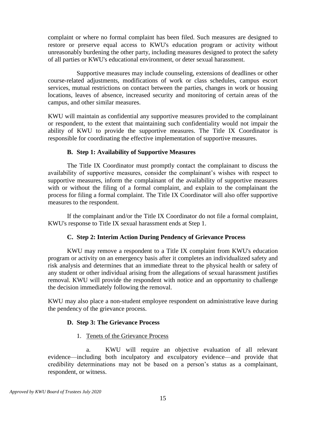complaint or where no formal complaint has been filed. Such measures are designed to restore or preserve equal access to KWU's education program or activity without unreasonably burdening the other party, including measures designed to protect the safety of all parties or KWU's educational environment, or deter sexual harassment.

Supportive measures may include counseling, extensions of deadlines or other course-related adjustments, modifications of work or class schedules, campus escort services, mutual restrictions on contact between the parties, changes in work or housing locations, leaves of absence, increased security and monitoring of certain areas of the campus, and other similar measures.

KWU will maintain as confidential any supportive measures provided to the complainant or respondent, to the extent that maintaining such confidentiality would not impair the ability of KWU to provide the supportive measures. The Title IX Coordinator is responsible for coordinating the effective implementation of supportive measures.

# **B. Step 1: Availability of Supportive Measures**

The Title IX Coordinator must promptly contact the complainant to discuss the availability of supportive measures, consider the complainant's wishes with respect to supportive measures, inform the complainant of the availability of supportive measures with or without the filing of a formal complaint, and explain to the complainant the process for filing a formal complaint. The Title IX Coordinator will also offer supportive measures to the respondent.

If the complainant and/or the Title IX Coordinator do not file a formal complaint, KWU's response to Title IX sexual harassment ends at Step 1.

# **C. Step 2: Interim Action During Pendency of Grievance Process**

KWU may remove a respondent to a Title IX complaint from KWU's education program or activity on an emergency basis after it completes an individualized safety and risk analysis and determines that an immediate threat to the physical health or safety of any student or other individual arising from the allegations of sexual harassment justifies removal. KWU will provide the respondent with notice and an opportunity to challenge the decision immediately following the removal.

KWU may also place a non-student employee respondent on administrative leave during the pendency of the grievance process.

# **D. Step 3: The Grievance Process**

# 1. Tenets of the Grievance Process

a. KWU will require an objective evaluation of all relevant evidence—including both inculpatory and exculpatory evidence—and provide that credibility determinations may not be based on a person's status as a complainant, respondent, or witness.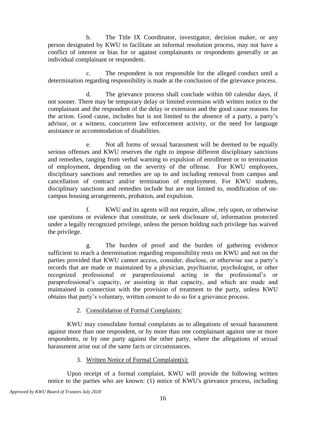b. The Title IX Coordinator, investigator, decision maker, or any person designated by KWU to facilitate an informal resolution process, may not have a conflict of interest or bias for or against complainants or respondents generally or an individual complainant or respondent.

c. The respondent is not responsible for the alleged conduct until a determination regarding responsibility is made at the conclusion of the grievance process.

d. The grievance process shall conclude within 60 calendar days, if not sooner. There may be temporary delay or limited extension with written notice to the complainant and the respondent of the delay or extension and the good cause reasons for the action. Good cause, includes but is not limited to the absence of a party, a party's advisor, or a witness, concurrent law enforcement activity, or the need for language assistance or accommodation of disabilities.

e. Not all forms of sexual harassment will be deemed to be equally serious offenses and KWU reserves the right to impose different disciplinary sanctions and remedies, ranging from verbal warning to expulsion of enrollment or to termination of employment, depending on the severity of the offense. For KWU employees, disciplinary sanctions and remedies are up to and including removal from campus and cancellation of contract and/or termination of employment. For KWU students, disciplinary sanctions and remedies include but are not limited to, modification of oncampus housing arrangements, probation, and expulsion.

f. KWU and its agents will not require, allow, rely upon, or otherwise use questions or evidence that constitute, or seek disclosure of, information protected under a legally recognized privilege, unless the person holding such privilege has waived the privilege.

g. The burden of proof and the burden of gathering evidence sufficient to reach a determination regarding responsibility rests on KWU and not on the parties provided that KWU cannot access, consider, disclose, or otherwise use a party's records that are made or maintained by a physician, psychiatrist, psychologist, or other recognized professional or paraprofessional acting in the professional's or paraprofessional's capacity, or assisting in that capacity, and which are made and maintained in connection with the provision of treatment to the party, unless KWU obtains that party's voluntary, written consent to do so for a grievance process.

# 2. Consolidation of Formal Complaints:

KWU may consolidate formal complaints as to allegations of sexual harassment against more than one respondent, or by more than one complainant against one or more respondents, or by one party against the other party, where the allegations of sexual harassment arise out of the same facts or circumstances.

# 3. Written Notice of Formal Complaint(s):

Upon receipt of a formal complaint, KWU will provide the following written notice to the parties who are known: (1) notice of KWU's grievance process, including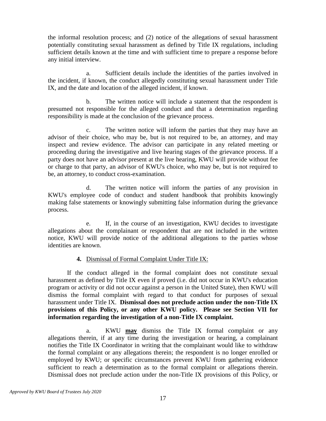the informal resolution process; and (2) notice of the allegations of sexual harassment potentially constituting sexual harassment as defined by Title IX regulations, including sufficient details known at the time and with sufficient time to prepare a response before any initial interview.

a. Sufficient details include the identities of the parties involved in the incident, if known, the conduct allegedly constituting sexual harassment under Title IX, and the date and location of the alleged incident, if known.

b. The written notice will include a statement that the respondent is presumed not responsible for the alleged conduct and that a determination regarding responsibility is made at the conclusion of the grievance process.

c. The written notice will inform the parties that they may have an advisor of their choice, who may be, but is not required to be, an attorney, and may inspect and review evidence. The advisor can participate in any related meeting or proceeding during the investigative and live hearing stages of the grievance process. If a party does not have an advisor present at the live hearing, KWU will provide without fee or charge to that party, an advisor of KWU's choice, who may be, but is not required to be, an attorney, to conduct cross-examination.

d. The written notice will inform the parties of any provision in KWU's employee code of conduct and student handbook that prohibits knowingly making false statements or knowingly submitting false information during the grievance process.

e. If, in the course of an investigation, KWU decides to investigate allegations about the complainant or respondent that are not included in the written notice, KWU will provide notice of the additional allegations to the parties whose identities are known.

# **4.** Dismissal of Formal Complaint Under Title IX:

If the conduct alleged in the formal complaint does not constitute sexual harassment as defined by Title IX even if proved (i.e. did not occur in KWU's education program or activity or did not occur against a person in the United State), then KWU will dismiss the formal complaint with regard to that conduct for purposes of sexual harassment under Title IX. **Dismissal does not preclude action under the non-Title IX provisions of this Policy, or any other KWU policy. Please see Section VII for information regarding the investigation of a non-Title IX complaint.**

a. KWU **may** dismiss the Title IX formal complaint or any allegations therein, if at any time during the investigation or hearing, a complainant notifies the Title IX Coordinator in writing that the complainant would like to withdraw the formal complaint or any allegations therein; the respondent is no longer enrolled or employed by KWU; or specific circumstances prevent KWU from gathering evidence sufficient to reach a determination as to the formal complaint or allegations therein. Dismissal does not preclude action under the non-Title IX provisions of this Policy, or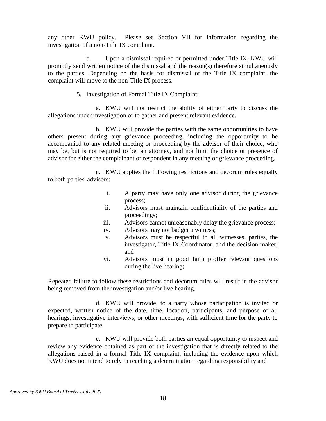any other KWU policy. Please see Section VII for information regarding the investigation of a non-Title IX complaint.

b. Upon a dismissal required or permitted under Title IX, KWU will promptly send written notice of the dismissal and the reason(s) therefore simultaneously to the parties. Depending on the basis for dismissal of the Title IX complaint, the complaint will move to the non-Title IX process.

#### 5. Investigation of Formal Title IX Complaint:

a. KWU will not restrict the ability of either party to discuss the allegations under investigation or to gather and present relevant evidence.

b. KWU will provide the parties with the same opportunities to have others present during any grievance proceeding, including the opportunity to be accompanied to any related meeting or proceeding by the advisor of their choice, who may be, but is not required to be, an attorney, and not limit the choice or presence of advisor for either the complainant or respondent in any meeting or grievance proceeding.

c. KWU applies the following restrictions and decorum rules equally to both parties' advisors:

- i. A party may have only one advisor during the grievance process;
- ii. Advisors must maintain confidentiality of the parties and proceedings;
- iii. Advisors cannot unreasonably delay the grievance process;
- iv. Advisors may not badger a witness;
- v. Advisors must be respectful to all witnesses, parties, the investigator, Title IX Coordinator, and the decision maker; and
- vi. Advisors must in good faith proffer relevant questions during the live hearing;

Repeated failure to follow these restrictions and decorum rules will result in the advisor being removed from the investigation and/or live hearing.

d. KWU will provide, to a party whose participation is invited or expected, written notice of the date, time, location, participants, and purpose of all hearings, investigative interviews, or other meetings, with sufficient time for the party to prepare to participate.

e. KWU will provide both parties an equal opportunity to inspect and review any evidence obtained as part of the investigation that is directly related to the allegations raised in a formal Title IX complaint, including the evidence upon which KWU does not intend to rely in reaching a determination regarding responsibility and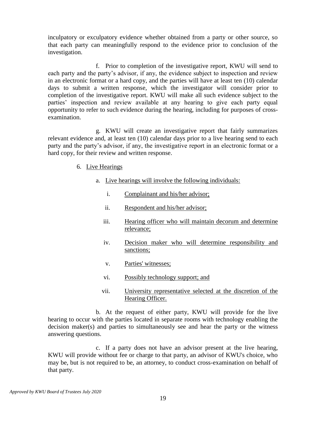inculpatory or exculpatory evidence whether obtained from a party or other source, so that each party can meaningfully respond to the evidence prior to conclusion of the investigation.

f. Prior to completion of the investigative report, KWU will send to each party and the party's advisor, if any, the evidence subject to inspection and review in an electronic format or a hard copy, and the parties will have at least ten (10) calendar days to submit a written response, which the investigator will consider prior to completion of the investigative report. KWU will make all such evidence subject to the parties' inspection and review available at any hearing to give each party equal opportunity to refer to such evidence during the hearing, including for purposes of crossexamination.

g. KWU will create an investigative report that fairly summarizes relevant evidence and, at least ten (10) calendar days prior to a live hearing send to each party and the party's advisor, if any, the investigative report in an electronic format or a hard copy, for their review and written response.

- 6. Live Hearings
	- a. Live hearings will involve the following individuals:
		- i. Complainant and his/her advisor;
		- ii. Respondent and his/her advisor;
		- iii. Hearing officer who will maintain decorum and determine relevance;
		- iv. Decision maker who will determine responsibility and sanctions;
		- v. Parties' witnesses;
		- vi. Possibly technology support; and
		- vii. University representative selected at the discretion of the Hearing Officer.

b. At the request of either party, KWU will provide for the live hearing to occur with the parties located in separate rooms with technology enabling the decision maker(s) and parties to simultaneously see and hear the party or the witness answering questions.

c. If a party does not have an advisor present at the live hearing, KWU will provide without fee or charge to that party, an advisor of KWU's choice, who may be, but is not required to be, an attorney, to conduct cross-examination on behalf of that party.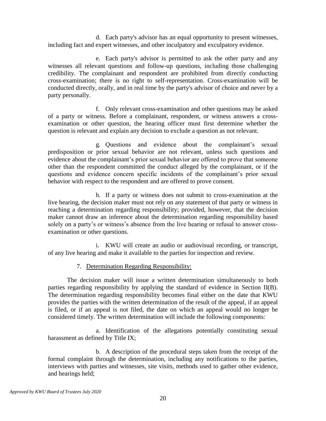d. Each party's advisor has an equal opportunity to present witnesses, including fact and expert witnesses, and other inculpatory and exculpatory evidence.

e. Each party's advisor is permitted to ask the other party and any witnesses all relevant questions and follow-up questions, including those challenging credibility. The complainant and respondent are prohibited from directly conducting cross-examination; there is no right to self-representation. Cross-examination will be conducted directly, orally, and in real time by the party's advisor of choice and never by a party personally.

f. Only relevant cross-examination and other questions may be asked of a party or witness. Before a complainant, respondent, or witness answers a crossexamination or other question, the hearing officer must first determine whether the question is relevant and explain any decision to exclude a question as not relevant.

g. Questions and evidence about the complainant's sexual predisposition or prior sexual behavior are not relevant, unless such questions and evidence about the complainant's prior sexual behavior are offered to prove that someone other than the respondent committed the conduct alleged by the complainant, or if the questions and evidence concern specific incidents of the complainant's prior sexual behavior with respect to the respondent and are offered to prove consent.

h. If a party or witness does not submit to cross-examination at the live hearing, the decision maker must not rely on any statement of that party or witness in reaching a determination regarding responsibility; provided, however, that the decision maker cannot draw an inference about the determination regarding responsibility based solely on a party's or witness's absence from the live hearing or refusal to answer crossexamination or other questions.

i. KWU will create an audio or audiovisual recording, or transcript, of any live hearing and make it available to the parties for inspection and review.

# 7. Determination Regarding Responsibility:

The decision maker will issue a written determination simultaneously to both parties regarding responsibility by applying the standard of evidence in Section II(B). The determination regarding responsibility becomes final either on the date that KWU provides the parties with the written determination of the result of the appeal, if an appeal is filed, or if an appeal is not filed, the date on which an appeal would no longer be considered timely. The written determination will include the following components:

a. Identification of the allegations potentially constituting sexual harassment as defined by Title IX;

b. A description of the procedural steps taken from the receipt of the formal complaint through the determination, including any notifications to the parties, interviews with parties and witnesses, site visits, methods used to gather other evidence, and hearings held;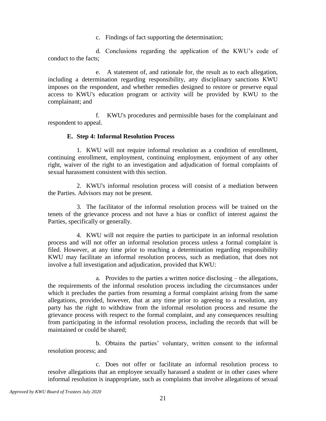c. Findings of fact supporting the determination;

d. Conclusions regarding the application of the KWU's code of conduct to the facts;

e. A statement of, and rationale for, the result as to each allegation, including a determination regarding responsibility, any disciplinary sanctions KWU imposes on the respondent, and whether remedies designed to restore or preserve equal access to KWU's education program or activity will be provided by KWU to the complainant; and

f. KWU's procedures and permissible bases for the complainant and respondent to appeal.

#### **E. Step 4: Informal Resolution Process**

1. KWU will not require informal resolution as a condition of enrollment, continuing enrollment, employment, continuing employment, enjoyment of any other right, waiver of the right to an investigation and adjudication of formal complaints of sexual harassment consistent with this section.

2. KWU's informal resolution process will consist of a mediation between the Parties. Advisors may not be present.

3. The facilitator of the informal resolution process will be trained on the tenets of the grievance process and not have a bias or conflict of interest against the Parties, specifically or generally.

4. KWU will not require the parties to participate in an informal resolution process and will not offer an informal resolution process unless a formal complaint is filed. However, at any time prior to reaching a determination regarding responsibility KWU may facilitate an informal resolution process, such as mediation, that does not involve a full investigation and adjudication, provided that KWU:

a. Provides to the parties a written notice disclosing – the allegations, the requirements of the informal resolution process including the circumstances under which it precludes the parties from resuming a formal complaint arising from the same allegations, provided, however, that at any time prior to agreeing to a resolution, any party has the right to withdraw from the informal resolution process and resume the grievance process with respect to the formal complaint, and any consequences resulting from participating in the informal resolution process, including the records that will be maintained or could be shared;

b. Obtains the parties' voluntary, written consent to the informal resolution process; and

c. Does not offer or facilitate an informal resolution process to resolve allegations that an employee sexually harassed a student or in other cases where informal resolution is inappropriate, such as complaints that involve allegations of sexual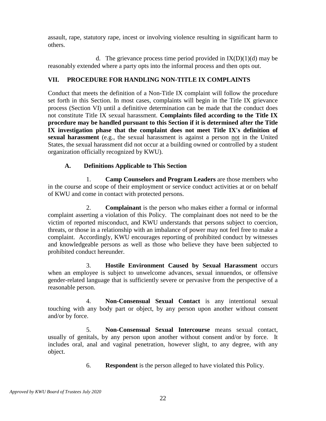assault, rape, statutory rape, incest or involving violence resulting in significant harm to others.

d. The grievance process time period provided in  $IX(D)(1)(d)$  may be reasonably extended where a party opts into the informal process and then opts out.

# **VII. PROCEDURE FOR HANDLING NON-TITLE IX COMPLAINTS**

Conduct that meets the definition of a Non-Title IX complaint will follow the procedure set forth in this Section. In most cases, complaints will begin in the Title IX grievance process (Section VI) until a definitive determination can be made that the conduct does not constitute Title IX sexual harassment. **Complaints filed according to the Title IX procedure may be handled pursuant to this Section if it is determined after the Title IX investigation phase that the complaint does not meet Title IX's definition of sexual harassment** (e.g., the sexual harassment is against a person not in the United States, the sexual harassment did not occur at a building owned or controlled by a student organization officially recognized by KWU).

# **A. Definitions Applicable to This Section**

1. **Camp Counselors and Program Leaders** are those members who in the course and scope of their employment or service conduct activities at or on behalf of KWU and come in contact with protected persons.

2. **Complainant** is the person who makes either a formal or informal complaint asserting a violation of this Policy. The complainant does not need to be the victim of reported misconduct, and KWU understands that persons subject to coercion, threats, or those in a relationship with an imbalance of power may not feel free to make a complaint. Accordingly, KWU encourages reporting of prohibited conduct by witnesses and knowledgeable persons as well as those who believe they have been subjected to prohibited conduct hereunder.

3. **Hostile Environment Caused by Sexual Harassment** occurs when an employee is subject to unwelcome advances, sexual innuendos, or offensive gender-related language that is sufficiently severe or pervasive from the perspective of a reasonable person.

4. **Non-Consensual Sexual Contact** is any intentional sexual touching with any body part or object, by any person upon another without consent and/or by force.

5. **Non-Consensual Sexual Intercourse** means sexual contact, usually of genitals, by any person upon another without consent and/or by force. It includes oral, anal and vaginal penetration, however slight, to any degree, with any object.

6. **Respondent** is the person alleged to have violated this Policy.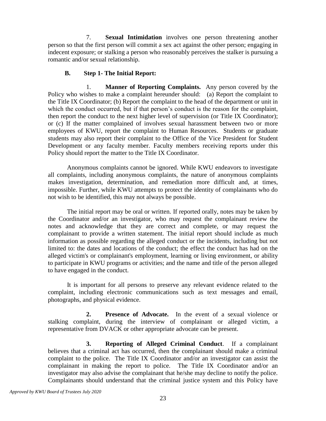7. **Sexual Intimidation** involves one person threatening another person so that the first person will commit a sex act against the other person; engaging in indecent exposure; or stalking a person who reasonably perceives the stalker is pursuing a romantic and/or sexual relationship.

#### **B. Step 1- The Initial Report:**

1. **Manner of Reporting Complaints.** Any person covered by the Policy who wishes to make a complaint hereunder should: (a) Report the complaint to the Title IX Coordinator; (b) Report the complaint to the head of the department or unit in which the conduct occurred, but if that person's conduct is the reason for the complaint, then report the conduct to the next higher level of supervision (or Title IX Coordinator); or (c) If the matter complained of involves sexual harassment between two or more employees of KWU, report the complaint to Human Resources. Students or graduate students may also report their complaint to the Office of the Vice President for Student Development or any faculty member. Faculty members receiving reports under this Policy should report the matter to the Title IX Coordinator.

Anonymous complaints cannot be ignored. While KWU endeavors to investigate all complaints, including anonymous complaints, the nature of anonymous complaints makes investigation, determination, and remediation more difficult and, at times, impossible. Further, while KWU attempts to protect the identity of complainants who do not wish to be identified, this may not always be possible.

The initial report may be oral or written. If reported orally, notes may be taken by the Coordinator and/or an investigator, who may request the complainant review the notes and acknowledge that they are correct and complete, or may request the complainant to provide a written statement. The initial report should include as much information as possible regarding the alleged conduct or the incidents, including but not limited to: the dates and locations of the conduct; the effect the conduct has had on the alleged victim's or complainant's employment, learning or living environment, or ability to participate in KWU programs or activities; and the name and title of the person alleged to have engaged in the conduct.

It is important for all persons to preserve any relevant evidence related to the complaint, including electronic communications such as text messages and email, photographs, and physical evidence.

**2. Presence of Advocate.** In the event of a sexual violence or stalking complaint, during the interview of complainant or alleged victim, a representative from DVACK or other appropriate advocate can be present.

**3. Reporting of Alleged Criminal Conduct**. If a complainant believes that a criminal act has occurred, then the complainant should make a criminal complaint to the police. The Title IX Coordinator and/or an investigator can assist the complainant in making the report to police. The Title IX Coordinator and/or an investigator may also advise the complainant that he/she may decline to notify the police. Complainants should understand that the criminal justice system and this Policy have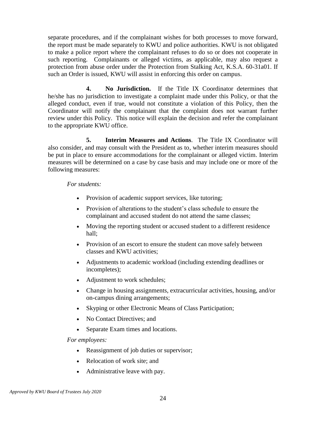separate procedures, and if the complainant wishes for both processes to move forward, the report must be made separately to KWU and police authorities. KWU is not obligated to make a police report where the complainant refuses to do so or does not cooperate in such reporting. Complainants or alleged victims, as applicable, may also request a protection from abuse order under the Protection from Stalking Act, K.S.A. 60-31a01. If such an Order is issued, KWU will assist in enforcing this order on campus.

**4. No Jurisdiction.** If the Title IX Coordinator determines that he/she has no jurisdiction to investigate a complaint made under this Policy, or that the alleged conduct, even if true, would not constitute a violation of this Policy, then the Coordinator will notify the complainant that the complaint does not warrant further review under this Policy. This notice will explain the decision and refer the complainant to the appropriate KWU office.

**5. Interim Measures and Actions**. The Title IX Coordinator will also consider, and may consult with the President as to, whether interim measures should be put in place to ensure accommodations for the complainant or alleged victim. Interim measures will be determined on a case by case basis and may include one or more of the following measures:

#### *For students:*

- Provision of academic support services, like tutoring;
- Provision of alterations to the student's class schedule to ensure the complainant and accused student do not attend the same classes;
- Moving the reporting student or accused student to a different residence hall;
- Provision of an escort to ensure the student can move safely between classes and KWU activities;
- Adjustments to academic workload (including extending deadlines or incompletes);
- Adjustment to work schedules;
- Change in housing assignments, extracurricular activities, housing, and/or on-campus dining arrangements;
- Skyping or other Electronic Means of Class Participation;
- No Contact Directives; and
- Separate Exam times and locations.

#### *For employees:*

- Reassignment of job duties or supervisor;
- Relocation of work site; and
- Administrative leave with pay.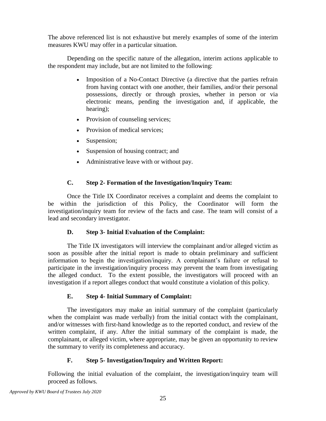The above referenced list is not exhaustive but merely examples of some of the interim measures KWU may offer in a particular situation.

Depending on the specific nature of the allegation, interim actions applicable to the respondent may include, but are not limited to the following:

- Imposition of a No-Contact Directive (a directive that the parties refrain from having contact with one another, their families, and/or their personal possessions, directly or through proxies, whether in person or via electronic means, pending the investigation and, if applicable, the hearing);
- Provision of counseling services;
- Provision of medical services;
- Suspension;
- Suspension of housing contract; and
- Administrative leave with or without pay.

# **C. Step 2- Formation of the Investigation/Inquiry Team:**

Once the Title IX Coordinator receives a complaint and deems the complaint to be within the jurisdiction of this Policy, the Coordinator will form the investigation/inquiry team for review of the facts and case. The team will consist of a lead and secondary investigator.

# **D. Step 3- Initial Evaluation of the Complaint:**

The Title IX investigators will interview the complainant and/or alleged victim as soon as possible after the initial report is made to obtain preliminary and sufficient information to begin the investigation/inquiry. A complainant's failure or refusal to participate in the investigation/inquiry process may prevent the team from investigating the alleged conduct. To the extent possible, the investigators will proceed with an investigation if a report alleges conduct that would constitute a violation of this policy.

# **E. Step 4- Initial Summary of Complaint:**

The investigators may make an initial summary of the complaint (particularly when the complaint was made verbally) from the initial contact with the complainant, and/or witnesses with first-hand knowledge as to the reported conduct, and review of the written complaint, if any. After the initial summary of the complaint is made, the complainant, or alleged victim, where appropriate, may be given an opportunity to review the summary to verify its completeness and accuracy.

# **F. Step 5- Investigation/Inquiry and Written Report:**

Following the initial evaluation of the complaint, the investigation/inquiry team will proceed as follows.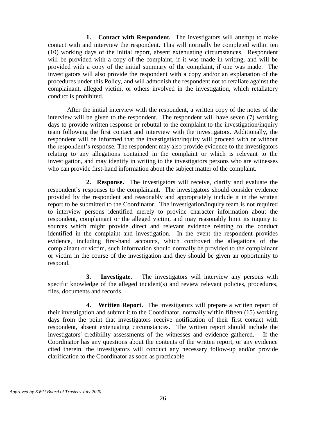**1. Contact with Respondent.** The investigators will attempt to make contact with and interview the respondent. This will normally be completed within ten (10) working days of the initial report, absent extenuating circumstances. Respondent will be provided with a copy of the complaint, if it was made in writing, and will be provided with a copy of the initial summary of the complaint, if one was made. The investigators will also provide the respondent with a copy and/or an explanation of the procedures under this Policy, and will admonish the respondent not to retaliate against the complainant, alleged victim, or others involved in the investigation, which retaliatory conduct is prohibited.

After the initial interview with the respondent, a written copy of the notes of the interview will be given to the respondent. The respondent will have seven (7) working days to provide written response or rebuttal to the complaint to the investigation/inquiry team following the first contact and interview with the investigators. Additionally, the respondent will be informed that the investigation/inquiry will proceed with or without the respondent's response. The respondent may also provide evidence to the investigators relating to any allegations contained in the complaint or which is relevant to the investigation, and may identify in writing to the investigators persons who are witnesses who can provide first-hand information about the subject matter of the complaint.

**2. Response.** The investigators will receive, clarify and evaluate the respondent's responses to the complainant. The investigators should consider evidence provided by the respondent and reasonably and appropriately include it in the written report to be submitted to the Coordinator. The investigation/inquiry team is not required to interview persons identified merely to provide character information about the respondent, complainant or the alleged victim, and may reasonably limit its inquiry to sources which might provide direct and relevant evidence relating to the conduct identified in the complaint and investigation. In the event the respondent provides evidence, including first-hand accounts, which controvert the allegations of the complainant or victim, such information should normally be provided to the complainant or victim in the course of the investigation and they should be given an opportunity to respond.

**3. Investigate.** The investigators will interview any persons with specific knowledge of the alleged incident(s) and review relevant policies, procedures, files, documents and records.

**4. Written Report.** The investigators will prepare a written report of their investigation and submit it to the Coordinator, normally within fifteen (15) working days from the point that investigators receive notification of their first contact with respondent, absent extenuating circumstances. The written report should include the investigators' credibility assessments of the witnesses and evidence gathered. If the Coordinator has any questions about the contents of the written report, or any evidence cited therein, the investigators will conduct any necessary follow-up and/or provide clarification to the Coordinator as soon as practicable.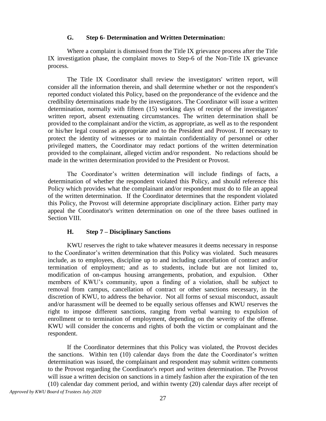#### **G. Step 6- Determination and Written Determination:**

Where a complaint is dismissed from the Title IX grievance process after the Title IX investigation phase, the complaint moves to Step-6 of the Non-Title IX grievance process.

The Title IX Coordinator shall review the investigators' written report, will consider all the information therein, and shall determine whether or not the respondent's reported conduct violated this Policy, based on the preponderance of the evidence and the credibility determinations made by the investigators. The Coordinator will issue a written determination, normally with fifteen (15) working days of receipt of the investigators' written report, absent extenuating circumstances. The written determination shall be provided to the complainant and/or the victim, as appropriate, as well as to the respondent or his/her legal counsel as appropriate and to the President and Provost. If necessary to protect the identity of witnesses or to maintain confidentiality of personnel or other privileged matters, the Coordinator may redact portions of the written determination provided to the complainant, alleged victim and/or respondent. No redactions should be made in the written determination provided to the President or Provost.

The Coordinator's written determination will include findings of facts, a determination of whether the respondent violated this Policy, and should reference this Policy which provides what the complainant and/or respondent must do to file an appeal of the written determination. If the Coordinator determines that the respondent violated this Policy, the Provost will determine appropriate disciplinary action. Either party may appeal the Coordinator's written determination on one of the three bases outlined in Section VIII.

#### **H. Step 7 – Disciplinary Sanctions**

KWU reserves the right to take whatever measures it deems necessary in response to the Coordinator's written determination that this Policy was violated. Such measures include, as to employees, discipline up to and including cancellation of contract and/or termination of employment; and as to students, include but are not limited to, modification of on-campus housing arrangements, probation, and expulsion. Other members of KWU's community, upon a finding of a violation, shall be subject to removal from campus, cancellation of contract or other sanctions necessary, in the discretion of KWU, to address the behavior. Not all forms of sexual misconduct, assault and/or harassment will be deemed to be equally serious offenses and KWU reserves the right to impose different sanctions, ranging from verbal warning to expulsion of enrollment or to termination of employment, depending on the severity of the offense. KWU will consider the concerns and rights of both the victim or complainant and the respondent.

If the Coordinator determines that this Policy was violated, the Provost decides the sanctions. Within ten (10) calendar days from the date the Coordinator's written determination was issued, the complainant and respondent may submit written comments to the Provost regarding the Coordinator's report and written determination. The Provost will issue a written decision on sanctions in a timely fashion after the expiration of the ten (10) calendar day comment period, and within twenty (20) calendar days after receipt of

*Approved by KWU Board of Trustees July 2020*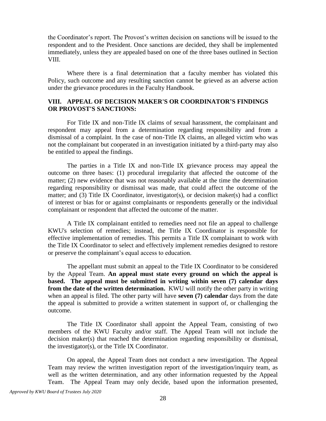the Coordinator's report. The Provost's written decision on sanctions will be issued to the respondent and to the President. Once sanctions are decided, they shall be implemented immediately, unless they are appealed based on one of the three bases outlined in Section VIII.

Where there is a final determination that a faculty member has violated this Policy, such outcome and any resulting sanction cannot be grieved as an adverse action under the grievance procedures in the Faculty Handbook.

#### **VIII. APPEAL OF DECISION MAKER'S OR COORDINATOR'S FINDINGS OR PROVOST'S SANCTIONS:**

For Title IX and non-Title IX claims of sexual harassment, the complainant and respondent may appeal from a determination regarding responsibility and from a dismissal of a complaint. In the case of non-Title IX claims, an alleged victim who was not the complainant but cooperated in an investigation initiated by a third-party may also be entitled to appeal the findings.

The parties in a Title IX and non-Title IX grievance process may appeal the outcome on three bases: (1) procedural irregularity that affected the outcome of the matter; (2) new evidence that was not reasonably available at the time the determination regarding responsibility or dismissal was made, that could affect the outcome of the matter; and (3) Title IX Coordinator, investigator(s), or decision maker(s) had a conflict of interest or bias for or against complainants or respondents generally or the individual complainant or respondent that affected the outcome of the matter.

A Title IX complainant entitled to remedies need not file an appeal to challenge KWU's selection of remedies; instead, the Title IX Coordinator is responsible for effective implementation of remedies. This permits a Title IX complainant to work with the Title IX Coordinator to select and effectively implement remedies designed to restore or preserve the complainant's equal access to education.

The appellant must submit an appeal to the Title IX Coordinator to be considered by the Appeal Team. **An appeal must state every ground on which the appeal is based. The appeal must be submitted in writing within seven (7) calendar days from the date of the written determination.** KWU will notify the other party in writing when an appeal is filed. The other party will have **seven (7) calendar** days from the date the appeal is submitted to provide a written statement in support of, or challenging the outcome.

The Title IX Coordinator shall appoint the Appeal Team, consisting of two members of the KWU Faculty and/or staff. The Appeal Team will not include the decision maker(s) that reached the determination regarding responsibility or dismissal, the investigator(s), or the Title IX Coordinator.

On appeal, the Appeal Team does not conduct a new investigation. The Appeal Team may review the written investigation report of the investigation/inquiry team, as well as the written determination, and any other information requested by the Appeal Team. The Appeal Team may only decide, based upon the information presented,

*Approved by KWU Board of Trustees July 2020*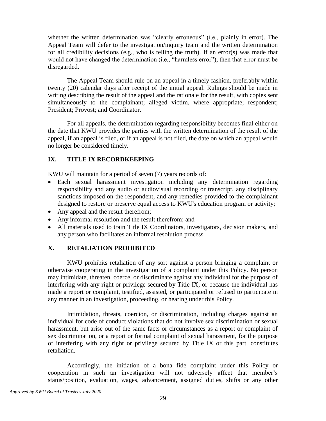whether the written determination was "clearly erroneous" (i.e., plainly in error). The Appeal Team will defer to the investigation/inquiry team and the written determination for all credibility decisions (e.g., who is telling the truth). If an error(s) was made that would not have changed the determination (i.e., "harmless error"), then that error must be disregarded.

The Appeal Team should rule on an appeal in a timely fashion, preferably within twenty (20) calendar days after receipt of the initial appeal. Rulings should be made in writing describing the result of the appeal and the rationale for the result, with copies sent simultaneously to the complainant; alleged victim, where appropriate; respondent; President; Provost; and Coordinator.

For all appeals, the determination regarding responsibility becomes final either on the date that KWU provides the parties with the written determination of the result of the appeal, if an appeal is filed, or if an appeal is not filed, the date on which an appeal would no longer be considered timely.

# **IX. TITLE IX RECORDKEEPING**

KWU will maintain for a period of seven (7) years records of:

- Each sexual harassment investigation including any determination regarding responsibility and any audio or audiovisual recording or transcript, any disciplinary sanctions imposed on the respondent, and any remedies provided to the complainant designed to restore or preserve equal access to KWU's education program or activity;
- Any appeal and the result therefrom;
- Any informal resolution and the result therefrom; and
- All materials used to train Title IX Coordinators, investigators, decision makers, and any person who facilitates an informal resolution process.

# **X. RETALIATION PROHIBITED**

KWU prohibits retaliation of any sort against a person bringing a complaint or otherwise cooperating in the investigation of a complaint under this Policy. No person may intimidate, threaten, coerce, or discriminate against any individual for the purpose of interfering with any right or privilege secured by Title IX, or because the individual has made a report or complaint, testified, assisted, or participated or refused to participate in any manner in an investigation, proceeding, or hearing under this Policy.

Intimidation, threats, coercion, or discrimination, including charges against an individual for code of conduct violations that do not involve sex discrimination or sexual harassment, but arise out of the same facts or circumstances as a report or complaint of sex discrimination, or a report or formal complaint of sexual harassment, for the purpose of interfering with any right or privilege secured by Title IX or this part, constitutes retaliation.

Accordingly, the initiation of a bona fide complaint under this Policy or cooperation in such an investigation will not adversely affect that member's status/position, evaluation, wages, advancement, assigned duties, shifts or any other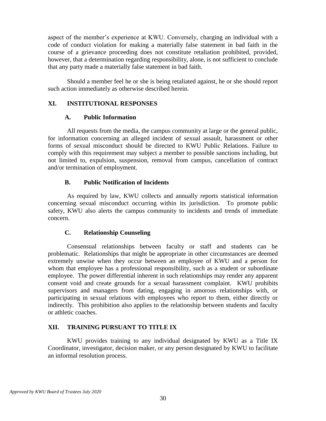aspect of the member's experience at KWU. Conversely, charging an individual with a code of conduct violation for making a materially false statement in bad faith in the course of a grievance proceeding does not constitute retaliation prohibited, provided, however, that a determination regarding responsibility, alone, is not sufficient to conclude that any party made a materially false statement in bad faith.

Should a member feel he or she is being retaliated against, he or she should report such action immediately as otherwise described herein.

#### **XI. INSTITUTIONAL RESPONSES**

#### **A. Public Information**

All requests from the media, the campus community at large or the general public, for information concerning an alleged incident of sexual assault, harassment or other forms of sexual misconduct should be directed to KWU Public Relations. Failure to comply with this requirement may subject a member to possible sanctions including, but not limited to, expulsion, suspension, removal from campus, cancellation of contract and/or termination of employment.

# **B. Public Notification of Incidents**

As required by law, KWU collects and annually reports statistical information concerning sexual misconduct occurring within its jurisdiction. To promote public safety, KWU also alerts the campus community to incidents and trends of immediate concern.

# **C. Relationship Counseling**

Consensual relationships between faculty or staff and students can be problematic. Relationships that might be appropriate in other circumstances are deemed extremely unwise when they occur between an employee of KWU and a person for whom that employee has a professional responsibility, such as a student or subordinate employee. The power differential inherent in such relationships may render any apparent consent void and create grounds for a sexual harassment complaint. KWU prohibits supervisors and managers from dating, engaging in amorous relationships with, or participating in sexual relations with employees who report to them, either directly or indirectly. This prohibition also applies to the relationship between students and faculty or athletic coaches.

# **XII. TRAINING PURSUANT TO TITLE IX**

KWU provides training to any individual designated by KWU as a Title IX Coordinator, investigator, decision maker, or any person designated by KWU to facilitate an informal resolution process.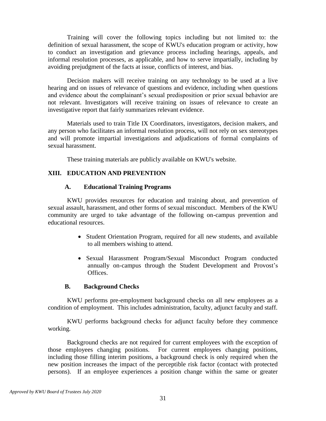Training will cover the following topics including but not limited to: the definition of sexual harassment, the scope of KWU's education program or activity, how to conduct an investigation and grievance process including hearings, appeals, and informal resolution processes, as applicable, and how to serve impartially, including by avoiding prejudgment of the facts at issue, conflicts of interest, and bias.

Decision makers will receive training on any technology to be used at a live hearing and on issues of relevance of questions and evidence, including when questions and evidence about the complainant's sexual predisposition or prior sexual behavior are not relevant. Investigators will receive training on issues of relevance to create an investigative report that fairly summarizes relevant evidence.

Materials used to train Title IX Coordinators, investigators, decision makers, and any person who facilitates an informal resolution process, will not rely on sex stereotypes and will promote impartial investigations and adjudications of formal complaints of sexual harassment.

These training materials are publicly available on KWU's website.

# **XIII. EDUCATION AND PREVENTION**

# **A. Educational Training Programs**

KWU provides resources for education and training about, and prevention of sexual assault, harassment, and other forms of sexual misconduct. Members of the KWU community are urged to take advantage of the following on-campus prevention and educational resources.

- Student Orientation Program, required for all new students, and available to all members wishing to attend.
- Sexual Harassment Program/Sexual Misconduct Program conducted annually on-campus through the Student Development and Provost's Offices.

# **B. Background Checks**

KWU performs pre-employment background checks on all new employees as a condition of employment. This includes administration, faculty, adjunct faculty and staff.

KWU performs background checks for adjunct faculty before they commence working.

Background checks are not required for current employees with the exception of those employees changing positions. For current employees changing positions, including those filling interim positions, a background check is only required when the new position increases the impact of the perceptible risk factor (contact with protected persons). If an employee experiences a position change within the same or greater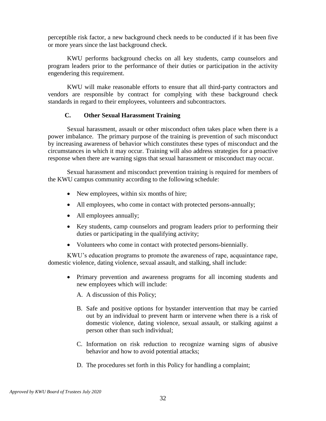perceptible risk factor, a new background check needs to be conducted if it has been five or more years since the last background check.

KWU performs background checks on all key students, camp counselors and program leaders prior to the performance of their duties or participation in the activity engendering this requirement.

KWU will make reasonable efforts to ensure that all third-party contractors and vendors are responsible by contract for complying with these background check standards in regard to their employees, volunteers and subcontractors.

# **C. Other Sexual Harassment Training**

Sexual harassment, assault or other misconduct often takes place when there is a power imbalance. The primary purpose of the training is prevention of such misconduct by increasing awareness of behavior which constitutes these types of misconduct and the circumstances in which it may occur. Training will also address strategies for a proactive response when there are warning signs that sexual harassment or misconduct may occur.

Sexual harassment and misconduct prevention training is required for members of the KWU campus community according to the following schedule:

- New employees, within six months of hire;
- All employees, who come in contact with protected persons-annually;
- All employees annually;
- Key students, camp counselors and program leaders prior to performing their duties or participating in the qualifying activity;
- Volunteers who come in contact with protected persons-biennially.

KWU's education programs to promote the awareness of rape, acquaintance rape, domestic violence, dating violence, sexual assault, and stalking, shall include:

- Primary prevention and awareness programs for all incoming students and new employees which will include:
	- A. A discussion of this Policy;
	- B. Safe and positive options for bystander intervention that may be carried out by an individual to prevent harm or intervene when there is a risk of domestic violence, dating violence, sexual assault, or stalking against a person other than such individual;
	- C. Information on risk reduction to recognize warning signs of abusive behavior and how to avoid potential attacks;
	- D. The procedures set forth in this Policy for handling a complaint;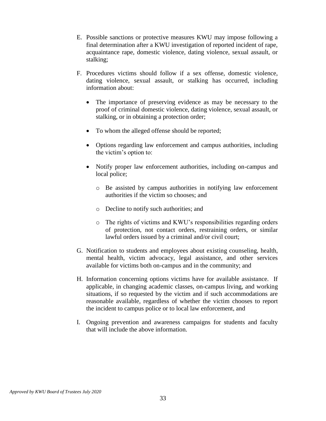- E. Possible sanctions or protective measures KWU may impose following a final determination after a KWU investigation of reported incident of rape, acquaintance rape, domestic violence, dating violence, sexual assault, or stalking;
- F. Procedures victims should follow if a sex offense, domestic violence, dating violence, sexual assault, or stalking has occurred, including information about:
	- The importance of preserving evidence as may be necessary to the proof of criminal domestic violence, dating violence, sexual assault, or stalking, or in obtaining a protection order;
	- To whom the alleged offense should be reported;
	- Options regarding law enforcement and campus authorities, including the victim's option to:
	- Notify proper law enforcement authorities, including on-campus and local police;
		- o Be assisted by campus authorities in notifying law enforcement authorities if the victim so chooses; and
		- o Decline to notify such authorities; and
		- o The rights of victims and KWU's responsibilities regarding orders of protection, not contact orders, restraining orders, or similar lawful orders issued by a criminal and/or civil court;
- G. Notification to students and employees about existing counseling, health, mental health, victim advocacy, legal assistance, and other services available for victims both on-campus and in the community; and
- H. Information concerning options victims have for available assistance. If applicable, in changing academic classes, on-campus living, and working situations, if so requested by the victim and if such accommodations are reasonable available, regardless of whether the victim chooses to report the incident to campus police or to local law enforcement, and
- I. Ongoing prevention and awareness campaigns for students and faculty that will include the above information.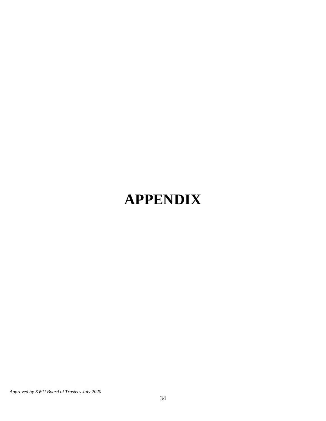# **APPENDIX**

*Approved by KWU Board of Trustees July 2020*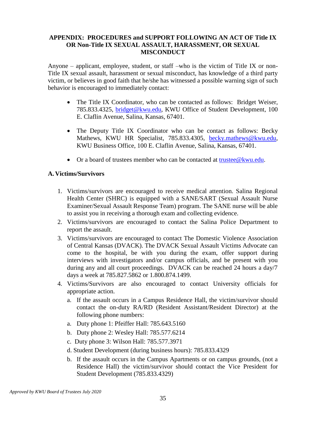### **APPENDIX: PROCEDURES and SUPPORT FOLLOWING AN ACT OF Title IX OR Non-Title IX SEXUAL ASSAULT, HARASSMENT, OR SEXUAL MISCONDUCT**

Anyone – applicant, employee, student, or staff –who is the victim of Title IX or non-Title IX sexual assault, harassment or sexual misconduct, has knowledge of a third party victim, or believes in good faith that he/she has witnessed a possible warning sign of such behavior is encouraged to immediately contact:

- The Title IX Coordinator, who can be contacted as follows: Bridget Weiser, 785.833.4325, [bridget@kwu.edu,](mailto:bridget@kwu.edu) KWU Office of Student Development, 100 E. Claflin Avenue, Salina, Kansas, 67401.
- The Deputy Title IX Coordinator who can be contact as follows: Becky Mathews, KWU HR Specialist, 785.833.4305, [becky.mathews@kwu.edu,](mailto:becky.mathews@kwu.edu) KWU Business Office, 100 E. Claflin Avenue, Salina, Kansas, 67401.
- Or a board of trustees member who can be contacted at trustee  $@kwu$ .

#### **A. Victims/Survivors**

- 1. Victims/survivors are encouraged to receive medical attention. Salina Regional Health Center (SHRC) is equipped with a SANE/SART (Sexual Assault Nurse Examiner/Sexual Assault Response Team) program. The SANE nurse will be able to assist you in receiving a thorough exam and collecting evidence.
- 2. Victims/survivors are encouraged to contact the Salina Police Department to report the assault.
- 3. Victims/survivors are encouraged to contact The Domestic Violence Association of Central Kansas (DVACK). The DVACK Sexual Assault Victims Advocate can come to the hospital, be with you during the exam, offer support during interviews with investigators and/or campus officials, and be present with you during any and all court proceedings. DVACK can be reached 24 hours a day/7 days a week at 785.827.5862 or 1.800.874.1499.
- 4. Victims/Survivors are also encouraged to contact University officials for appropriate action.
	- a. If the assault occurs in a Campus Residence Hall, the victim/survivor should contact the on-duty RA/RD (Resident Assistant/Resident Director) at the following phone numbers:
	- a. Duty phone 1: Pfeiffer Hall: 785.643.5160
	- b. Duty phone 2: Wesley Hall: 785.577.6214
	- c. Duty phone 3: Wilson Hall: 785.577.3971
	- d. Student Development (during business hours): 785.833.4329
	- b. If the assault occurs in the Campus Apartments or on campus grounds, (not a Residence Hall) the victim/survivor should contact the Vice President for Student Development (785.833.4329)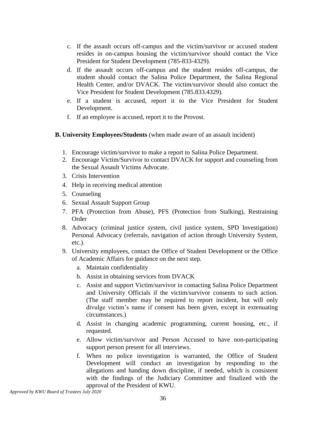- c. If the assault occurs off-campus and the victim/survivor or accused student resides in on-campus housing the victim/survivor should contact the Vice President for Student Development (785-833-4329).
- d. If the assault occurs off-campus and the student resides off-campus, the student should contact the Salina Police Department, the Salina Regional Health Center, and/or DVACK. The victim/survivor should also contact the Vice President for Student Development (785.833.4329).
- e. If a student is accused, report it to the Vice President for Student Development.
- f. If an employee is accused, report it to the Provost.
- **B. University Employees/Students** (when made aware of an assault incident)
	- 1. Encourage victim/survivor to make a report to Salina Police Department.
	- 2. Encourage Victim/Survivor to contact DVACK for support and counseling from the Sexual Assault Victims Advocate.
	- 3. Crisis Intervention
	- 4. Help in receiving medical attention
	- 5. Counseling
	- 6. Sexual Assault Support Group
	- 7. PFA (Protection from Abuse), PFS (Protection from Stalking), Restraining Order
	- 8. Advocacy (criminal justice system, civil justice system, SPD Investigation) Personal Advocacy (referrals, navigation of action through University System, etc.).
	- 9. University employees, contact the Office of Student Development or the Office of Academic Affairs for guidance on the next step.
		- a. Maintain confidentiality
		- b. Assist in obtaining services from DVACK
		- c. Assist and support Victim/survivor in contacting Salina Police Department and University Officials if the victim/survivor consents to such action. (The staff member may be required to report incident, but will only divulge victim's name if consent has been given, except in extenuating circumstances.)
		- d. Assist in changing academic programming, current housing, etc., if requested.
		- e. Allow victim/survivor and Person Accused to have non-participating support person present for all interviews.
		- f. When no police investigation is warranted, the Office of Student Development will conduct an investigation by responding to the allegations and handing down discipline, if needed, which is consistent with the findings of the Judiciary Committee and finalized with the approval of the President of KWU.